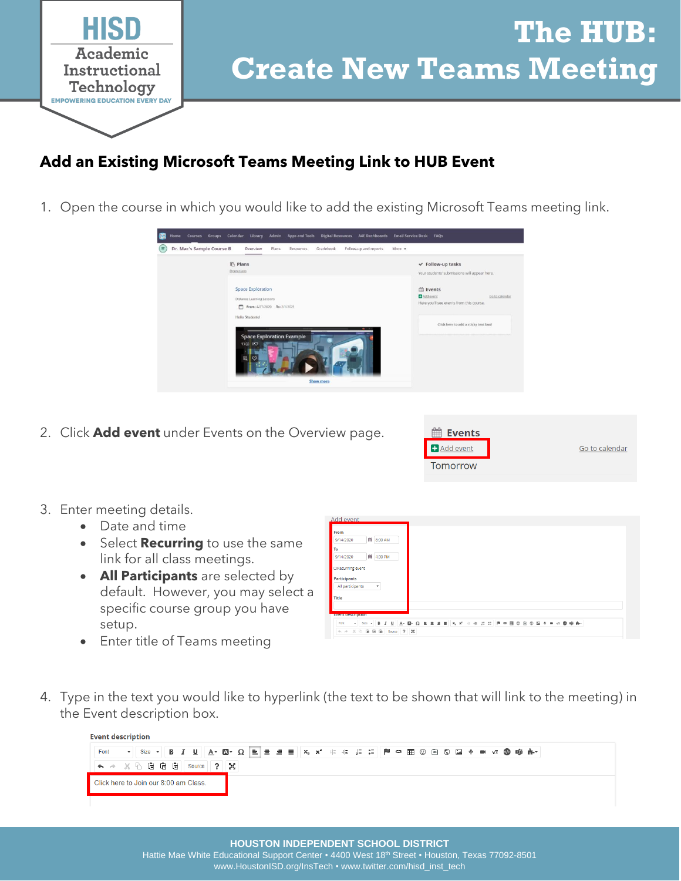

## **The HUB: Create New Teams Meeting**

## **Add an Existing Microsoft Teams Meeting Link to HUB Event**

1. Open the course in which you would like to add the existing Microsoft Teams meeting link.



2. Click **Add event** under Events on the Overview page.



- 3. Enter meeting details.
	- Date and time
	- Select **Recurring** to use the same link for all class meetings.
	- **All Participants** are selected by default. However, you may select a specific course group you have setup.
	- Enter title of Teams meeting

| From                                     |         |  |  |
|------------------------------------------|---------|--|--|
| 第 8:00 AM<br>9/14/2020                   |         |  |  |
| To                                       |         |  |  |
| 单<br>9/14/2020                           | 4:00 PM |  |  |
| O Recurring event                        |         |  |  |
| Participants                             |         |  |  |
| All participants<br>$\blacktriangledown$ |         |  |  |
| <b>Title</b>                             |         |  |  |
|                                          |         |  |  |
| <b>Event description</b>                 |         |  |  |
|                                          |         |  |  |

4. Type in the text you would like to hyperlink (the text to be shown that will link to the meeting) in the Event description box.